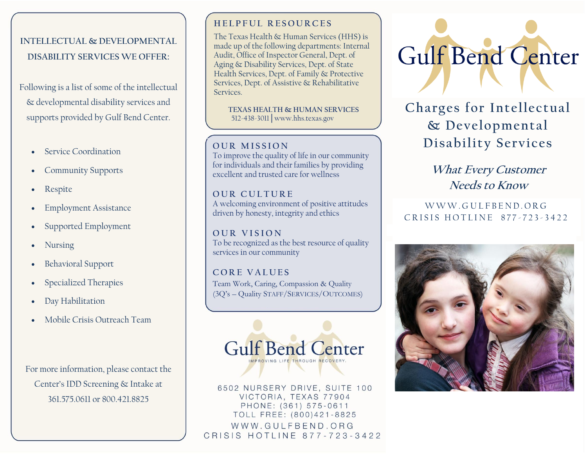# **INTELLECTUAL & DEVELOPMENTAL DISABILITY SERVICES WE OFFER:**

Following is a list of some of the intellectual & developmental disability services and supports provided by Gulf Bend Center.

- Service Coordination
- Community Supports
- Respite
- **Employment Assistance**
- Supported Employment
- Nursing
- Behavioral Support
- Specialized Therapies
- Day Habilitation
- Mobile Crisis Outreach Team

For more information, please contact the Center's IDD Screening & Intake at 361.575.0611 or 800.421.8825

## **H E L P F U L R E S O U R C E S**

The Texas Health & Human Services (HHS) is made up of the following departments: [Internal](https://hhs.texas.gov/about-hhs/agencies-departments#internalaudit)  [Audit,](https://hhs.texas.gov/about-hhs/agencies-departments#internalaudit) [Office of Inspector General,](https://hhs.texas.gov/about-hhs/agencies-departments#OfficeofInspectorGeneral) [Dept. of](https://hhs.texas.gov/about-hhs/agencies-departments#dads)  [Aging & Disability Services,](https://hhs.texas.gov/about-hhs/agencies-departments#dads) [Dept. of State](https://hhs.texas.gov/about-hhs/agencies-departments#dshs)  [Health Services,](https://hhs.texas.gov/about-hhs/agencies-departments#dshs) [Dept. of Family & Protective](https://hhs.texas.gov/about-hhs/agencies-departments#dfps)  [Services,](https://hhs.texas.gov/about-hhs/agencies-departments#dfps) [Dept. of Assistive & Rehabilitative](https://hhs.texas.gov/about-hhs/agencies-departments#dars)  [Services.](https://hhs.texas.gov/about-hhs/agencies-departments#dars)

 **TEXAS HEALTH & HUMAN SERVICES** 512-438-3011│www.hhs.texas.gov

### **OUR MISSION**

To improve the quality of life in our community for individuals and their families by providing excellent and trusted care for wellness

**OUR CULTURE** A welcoming environment of positive attitudes driven by honesty, integrity and ethics

**O U R V I S I O N** To be recognized as the best resource of quality services in our community

**C O R E V A L U E S** Team Work, Caring, Compassion & Quality (3Q's – Quality STAFF/SERVICES/OUTCOMES)



6502 NURSERY DRIVE, SUITE 100 VICTORIA, TEXAS 77904 PHONE: (361) 575-0611 TOLL FREE: (800)421-8825 WWW.GULFBEND.ORG CRISIS HOTLINE 877-723-3422



**Charges for Intellectual & Developmental Disability Services**

> **What Every Customer Needs to Know**

W W W . G U L F B E N D . O R G CRISIS HOTLINE 877-723-3422